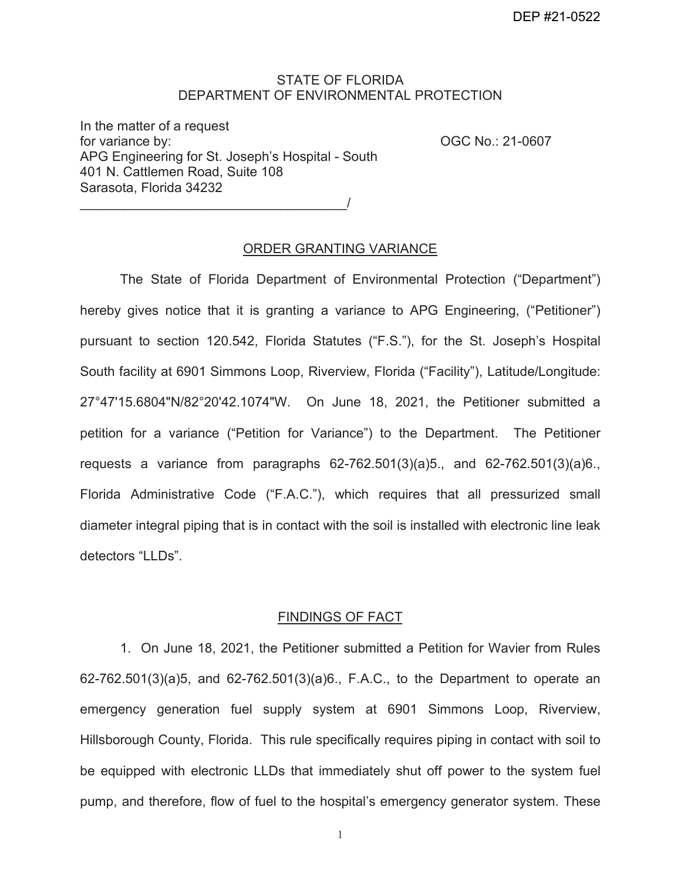## STATE OF FLORIDA DEPARTMENT OF ENVIRONMENTAL PROTECTION

APG Engineering for St. Joseph's Hospital - South<br>401 N. Cattlemen Road, Suite 108 In the matter of a request for variance by:  $OGC No.: 21-0607$ Sarasota, Florida 34232

 $\overline{\phantom{a}}$ 

ORDER GRANTING VARIANCE

The State of Florida Department of Environmental Protection ("Department") hereby gives notice that it is granting a variance to APG Engineering, ("Petitioner") pursuant to section 120.542, Florida Statutes ("F.S."), for the St. Joseph's Hospital South facility at 6901 Simmons Loop, Riverview, Florida ("Facility"), Latitude/Longitude: 27°47'15.6804"N/82°20'42.1074"W. On June 18, 2021, the Petitioner submitted a petition for a variance ("Petition for Variance") to the Department. The Petitioner requests a variance from paragraphs 62-762.501(3)(a)5., and 62-762.501(3)(a)6., Florida Administrative Code ("F.A.C."), which requires that all pressurized small diameter integral piping that is in contact with the soil is installed with electronic line leak detectors "LLDs".

### FINDINGS OF FACT

 1. On June 18, 2021, the Petitioner submitted a Petition for Wavier from Rules 62-762.501(3)(a)5, and 62-762.501(3)(a)6., F.A.C., to the Department to operate an emergency generation fuel supply system at 6901 Simmons Loop, Riverview, Hillsborough County, Florida. This rule specifically requires piping in contact with soil to be equipped with electronic LLDs that immediately shut off power to the system fuel pump, and therefore, flow of fuel to the hospital's emergency generator system. These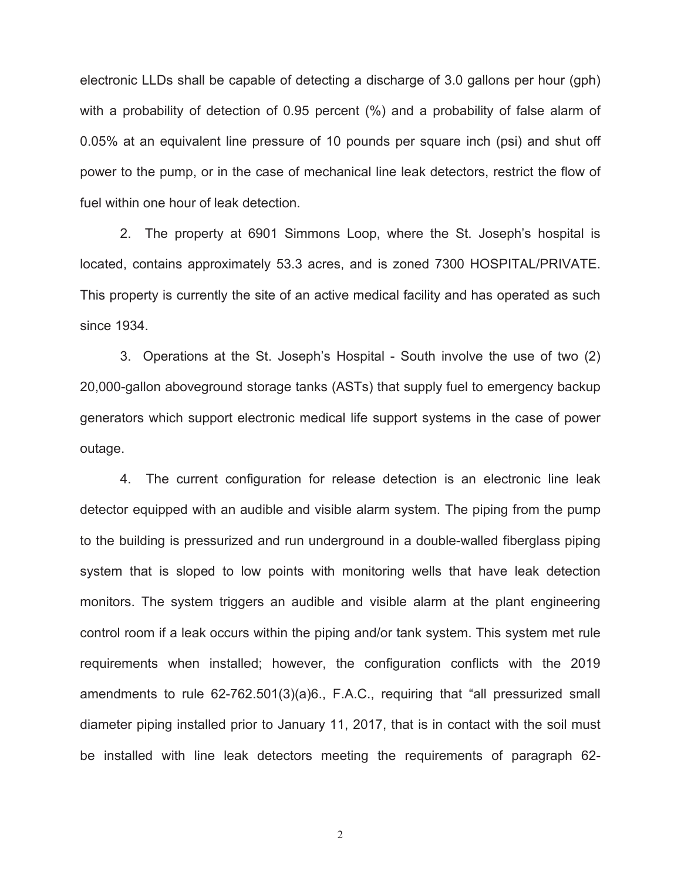electronic LLDs shall be capable of detecting a discharge of 3.0 gallons per hour (gph) with a probability of detection of 0.95 percent (%) and a probability of false alarm of 0.05% at an equivalent line pressure of 10 pounds per square inch (psi) and shut off power to the pump, or in the case of mechanical line leak detectors, restrict the flow of fuel within one hour of leak detection.

since 1934. 2. The property at 6901 Simmons Loop, where the St. Joseph's hospital is located, contains approximately 53.3 acres, and is zoned 7300 HOSPITAL/PRIVATE. This property is currently the site of an active medical facility and has operated as such

 generators which support electronic medical life support systems in the case of power outage. 3. Operations at the St. Joseph's Hospital - South involve the use of two (2) 20,000-gallon aboveground storage tanks (ASTs) that supply fuel to emergency backup

 detector equipped with an audible and visible alarm system. The piping from the pump 4. The current configuration for release detection is an electronic line leak to the building is pressurized and run underground in a double-walled fiberglass piping system that is sloped to low points with monitoring wells that have leak detection monitors. The system triggers an audible and visible alarm at the plant engineering control room if a leak occurs within the piping and/or tank system. This system met rule requirements when installed; however, the configuration conflicts with the 2019 amendments to rule 62-762.501(3)(a)6., F.A.C., requiring that "all pressurized small diameter piping installed prior to January 11, 2017, that is in contact with the soil must be installed with line leak detectors meeting the requirements of paragraph 62-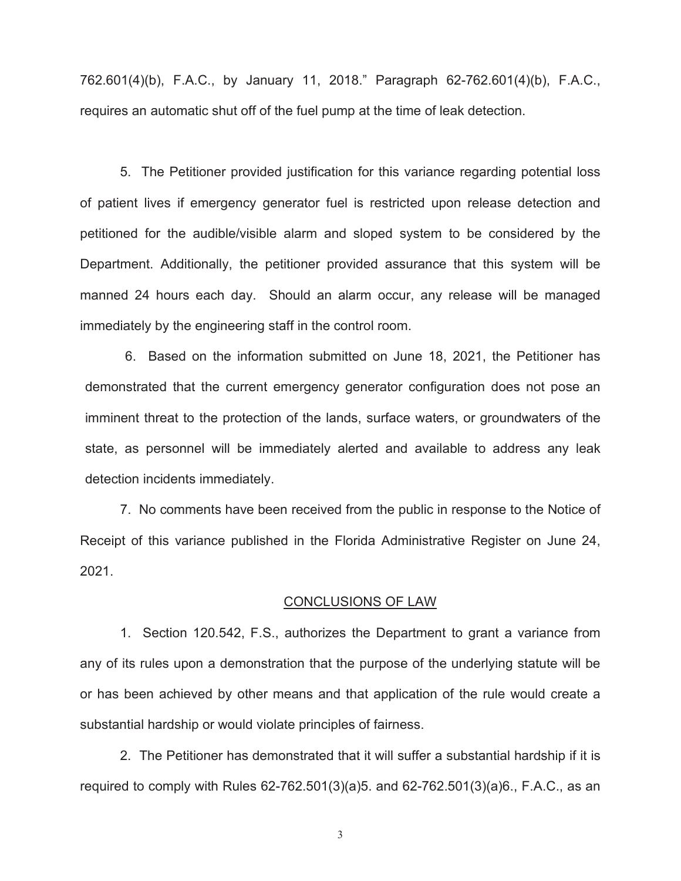requires an automatic shut off of the fuel pump at the time of leak detection. 762.601(4)(b), F.A.C., by January 11, 2018." Paragraph 62-762.601(4)(b), F.A.C.,

 manned 24 hours each day. Should an alarm occur, any release will be managed 5. The Petitioner provided justification for this variance regarding potential loss of patient lives if emergency generator fuel is restricted upon release detection and petitioned for the audible/visible alarm and sloped system to be considered by the Department. Additionally, the petitioner provided assurance that this system will be immediately by the engineering staff in the control room.

 6. Based on the information submitted on June 18, 2021, the Petitioner has demonstrated that the current emergency generator configuration does not pose an imminent threat to the protection of the lands, surface waters, or groundwaters of the state, as personnel will be immediately alerted and available to address any leak detection incidents immediately.

7. No comments have been received from the public in response to the Notice of Receipt of this variance published in the Florida Administrative Register on June 24, 2021.

#### CONCLUSIONS OF LAW

 any of its rules upon a demonstration that the purpose of the underlying statute will be or has been achieved by other means and that application of the rule would create a 1. Section 120.542, F.S., authorizes the Department to grant a variance from substantial hardship or would violate principles of fairness.

2. The Petitioner has demonstrated that it will suffer a substantial hardship if it is required to comply with Rules 62-762.501(3)(a)5. and 62-762.501(3)(a)6., F.A.C., as an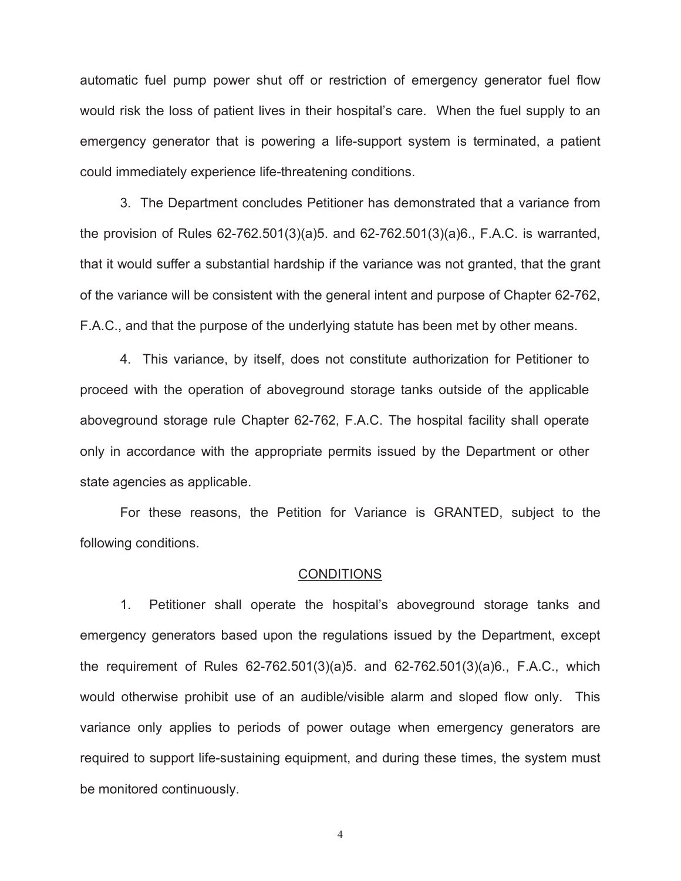automatic fuel pump power shut off or restriction of emergency generator fuel flow would risk the loss of patient lives in their hospital's care. When the fuel supply to an emergency generator that is powering a life-support system is terminated, a patient could immediately experience life-threatening conditions.

 F.A.C., and that the purpose of the underlying statute has been met by other means. 3. The Department concludes Petitioner has demonstrated that a variance from the provision of Rules 62-762.501(3)(a)5. and 62-762.501(3)(a)6., F.A.C. is warranted, that it would suffer a substantial hardship if the variance was not granted, that the grant of the variance will be consistent with the general intent and purpose of Chapter 62-762,

4. This variance, by itself, does not constitute authorization for Petitioner to proceed with the operation of aboveground storage tanks outside of the applicable aboveground storage rule Chapter 62-762, F.A.C. The hospital facility shall operate only in accordance with the appropriate permits issued by the Department or other state agencies as applicable.

For these reasons, the Petition for Variance is GRANTED, subject to the following conditions.

#### **CONDITIONS**

 would otherwise prohibit use of an audible/visible alarm and sloped flow only. This required to support life-sustaining equipment, and during these times, the system must 1. Petitioner shall operate the hospital's aboveground storage tanks and emergency generators based upon the regulations issued by the Department, except the requirement of Rules 62-762.501(3)(a)5. and 62-762.501(3)(a)6., F.A.C., which variance only applies to periods of power outage when emergency generators are be monitored continuously.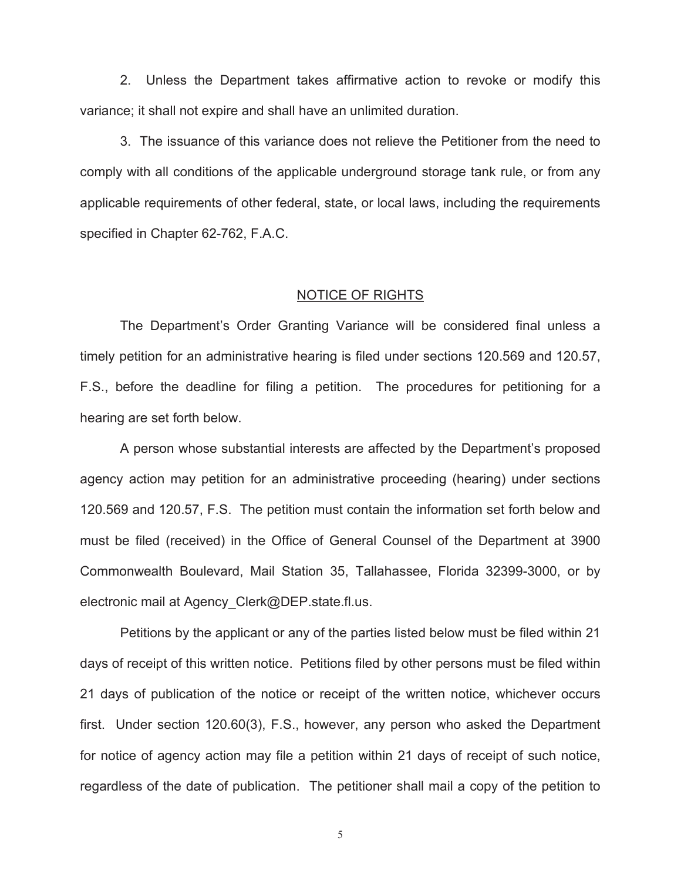2. Unless the Department takes affirmative action to revoke or modify this variance; it shall not expire and shall have an unlimited duration.

 comply with all conditions of the applicable underground storage tank rule, or from any specified in Chapter 62-762, F.A.C. 3. The issuance of this variance does not relieve the Petitioner from the need to applicable requirements of other federal, state, or local laws, including the requirements specified in Chapter 62-762, F.A.C.<br>NOTICE OF RIGHTS

The Department's Order Granting Variance will be considered final unless a timely petition for an administrative hearing is filed under sections 120.569 and 120.57, F.S., before the deadline for filing a petition. The procedures for petitioning for a hearing are set forth below.

 A person whose substantial interests are affected by the Department's proposed agency action may petition for an administrative proceeding (hearing) under sections 120.569 and 120.57, F.S. The petition must contain the information set forth below and must be filed (received) in the Office of General Counsel of the Department at 3900 Commonwealth Boulevard, Mail Station 35, Tallahassee, Florida 32399-3000, or by electronic mail at [Agency\\_Clerk@DEP.state.fl.us.](mailto:Agency_Clerk@DEP.state.fl.us)

 Petitions by the applicant or any of the parties listed below must be filed within 21 days of receipt of this written notice. Petitions filed by other persons must be filed within 21 days of publication of the notice or receipt of the written notice, whichever occurs first. Under section 120.60(3), F.S., however, any person who asked the Department for notice of agency action may file a petition within 21 days of receipt of such notice, regardless of the date of publication. The petitioner shall mail a copy of the petition to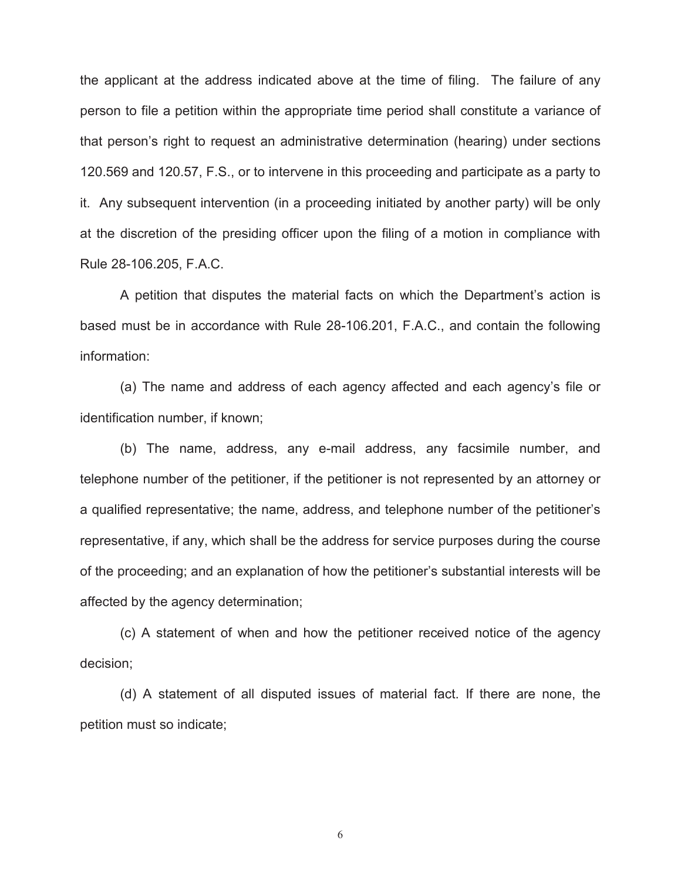at the discretion of the presiding officer upon the filing of a motion in compliance with the applicant at the address indicated above at the time of filing. The failure of any person to file a petition within the appropriate time period shall constitute a variance of that person's right to request an administrative determination (hearing) under sections 120.569 and 120.57, F.S., or to intervene in this proceeding and participate as a party to it. Any subsequent intervention (in a proceeding initiated by another party) will be only Rule 28-106.205, F.A.C.

A petition that disputes the material facts on which the Department's action is based must be in accordance with Rule 28-106.201, F.A.C., and contain the following information:

(a) The name and address of each agency affected and each agency's file or identification number, if known;

(b) The name, address, any e-mail address, any facsimile number, and telephone number of the petitioner, if the petitioner is not represented by an attorney or a qualified representative; the name, address, and telephone number of the petitioner's representative, if any, which shall be the address for service purposes during the course of the proceeding; and an explanation of how the petitioner's substantial interests will be affected by the agency determination;

(c) A statement of when and how the petitioner received notice of the agency decision;

(d) A statement of all disputed issues of material fact. If there are none, the petition must so indicate;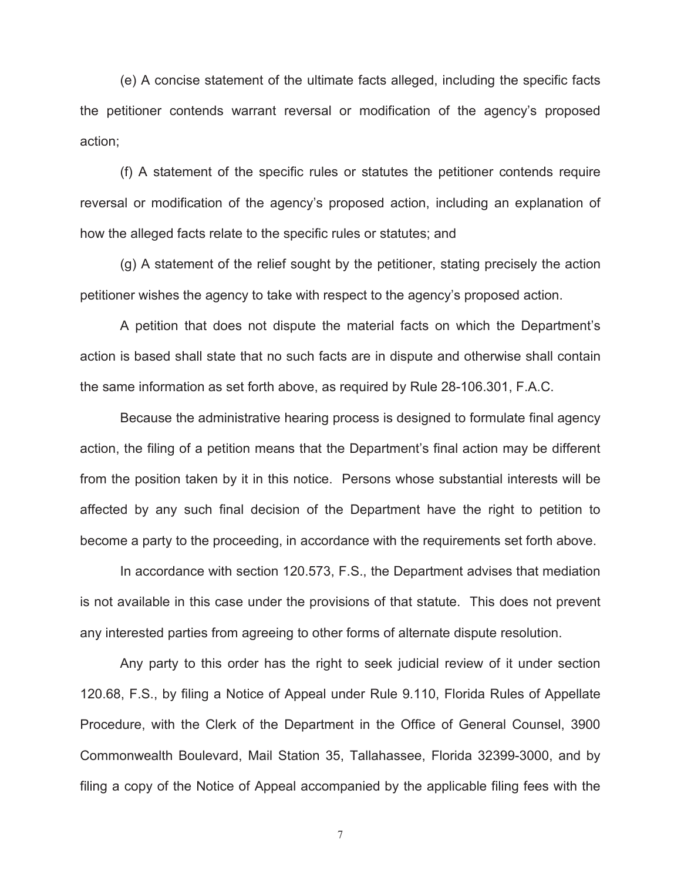(e) A concise statement of the ultimate facts alleged, including the specific facts the petitioner contends warrant reversal or modification of the agency's proposed action;

(f) A statement of the specific rules or statutes the petitioner contends require reversal or modification of the agency's proposed action, including an explanation of how the alleged facts relate to the specific rules or statutes; and

(g) A statement of the relief sought by the petitioner, stating precisely the action petitioner wishes the agency to take with respect to the agency's proposed action.

A petition that does not dispute the material facts on which the Department's action is based shall state that no such facts are in dispute and otherwise shall contain the same information as set forth above, as required by Rule 28-106.301, F.A.C.

become a party to the proceeding, in accordance with the requirements set forth above. Because the administrative hearing process is designed to formulate final agency action, the filing of a petition means that the Department's final action may be different from the position taken by it in this notice. Persons whose substantial interests will be affected by any such final decision of the Department have the right to petition to

become a party to the proceeding, in accordance with the requirements set forth above.<br>In accordance with section 120.573, F.S., the Department advises that mediation is not available in this case under the provisions of that statute. This does not prevent any interested parties from agreeing to other forms of alternate dispute resolution.

 120.68, F.S., by filing a Notice of Appeal under Rule 9.110, Florida Rules of Appellate Any party to this order has the right to seek judicial review of it under section Procedure, with the Clerk of the Department in the Office of General Counsel, 3900 Commonwealth Boulevard, Mail Station 35, Tallahassee, Florida 32399-3000, and by filing a copy of the Notice of Appeal accompanied by the applicable filing fees with the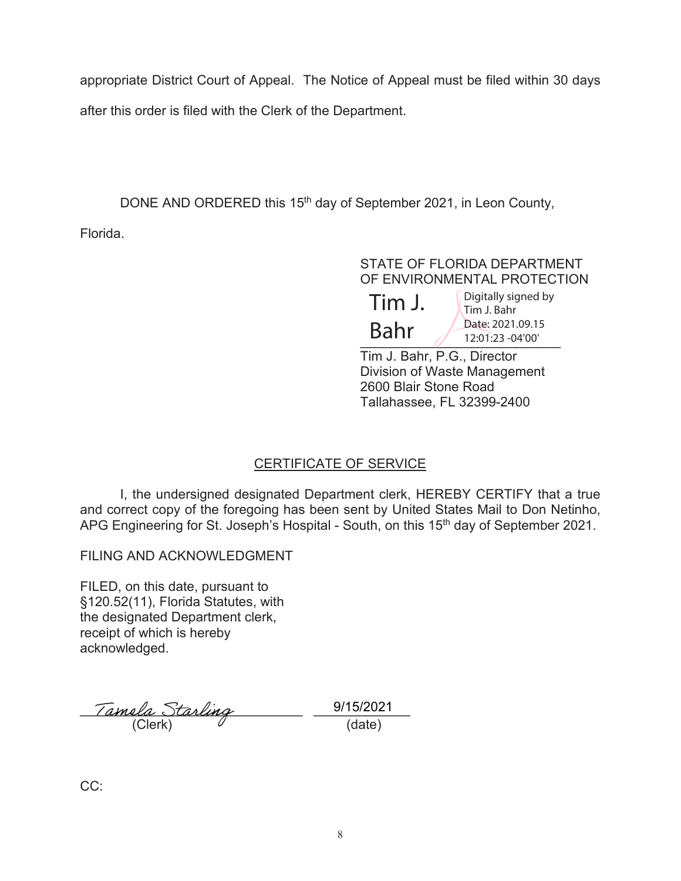appropriate District Court of Appeal. The Notice of Appeal must be filed within 30 days after this order is filed with the Clerk of the Department.

DONE AND ORDERED this 15<sup>th</sup> day of September 2021, in Leon County,

Florida.

STATE OF FLORIDA DEPARTMENT OF ENVIRONMENTAL PROTECTION  $22.01:23 - 04'00'$ Tim J. Bahr, P.G., Director  $\text{Tim J.}$   $\int_{\text{Tim J. Bahr}}^{\text{Digitally signed by}}$  $Bahr$  Date: [2021.09.15](https://2021.09.15)

Division of Waste Management 2600 Blair Stone Road Tallahassee, FL 32399-2400

# CERTIFICATE OF SERVICE

I, the undersigned designated Department clerk, HEREBY CERTIFY that a true and correct copy of the foregoing has been sent by United States Mail to Don Netinho, APG Engineering for St. Joseph's Hospital - South, on this 15<sup>th</sup> day of September 2021.

FILING AND ACKNOWLEDGMENT

FILED, on this date, pursuant to §120.52(11), Florida Statutes, with the designated Department clerk, receipt of which is hereby acknowledged.

\_\_\_\_\_\_\_\_\_\_\_\_\_\_\_\_\_\_\_\_\_\_\_\_\_\_\_\_\_\_ \_\_\_\_\_\_\_\_\_\_\_\_\_  $(Clerk)$   $Q$   $(date)$ 

9/15/2021

CC: